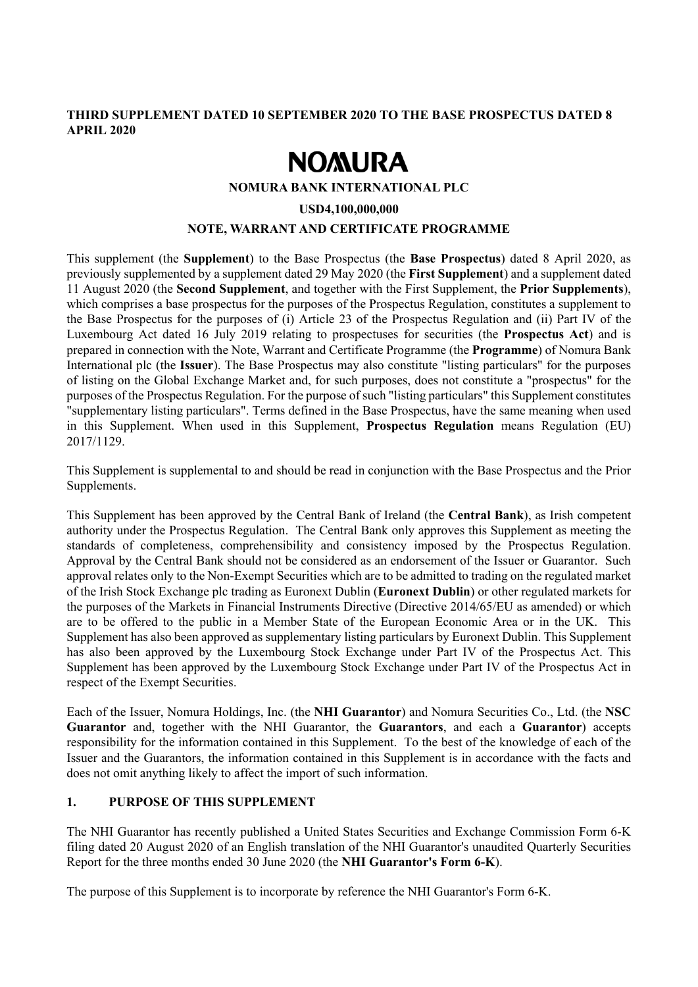## **THIRD SUPPLEMENT DATED 10 SEPTEMBER 2020 TO THE BASE PROSPECTUS DATED 8 APRIL 2020**

# **NOMURA**

#### **NOMURA BANK INTERNATIONAL PLC**

#### **USD4,100,000,000**

### **NOTE, WARRANT AND CERTIFICATE PROGRAMME**

This supplement (the **Supplement**) to the Base Prospectus (the **Base Prospectus**) dated 8 April 2020, as previously supplemented by a supplement dated 29 May 2020 (the **First Supplement**) and a supplement dated 11 August 2020 (the **Second Supplement**, and together with the First Supplement, the **Prior Supplements**), which comprises a base prospectus for the purposes of the Prospectus Regulation, constitutes a supplement to the Base Prospectus for the purposes of (i) Article 23 of the Prospectus Regulation and (ii) Part IV of the Luxembourg Act dated 16 July 2019 relating to prospectuses for securities (the **Prospectus Act**) and is prepared in connection with the Note, Warrant and Certificate Programme (the **Programme**) of Nomura Bank International plc (the **Issuer**). The Base Prospectus may also constitute "listing particulars" for the purposes of listing on the Global Exchange Market and, for such purposes, does not constitute a "prospectus" for the purposes of the Prospectus Regulation. For the purpose of such "listing particulars" this Supplement constitutes "supplementary listing particulars". Terms defined in the Base Prospectus, have the same meaning when used in this Supplement. When used in this Supplement, **Prospectus Regulation** means Regulation (EU) 2017/1129.

This Supplement is supplemental to and should be read in conjunction with the Base Prospectus and the Prior Supplements.

This Supplement has been approved by the Central Bank of Ireland (the **Central Bank**), as Irish competent authority under the Prospectus Regulation. The Central Bank only approves this Supplement as meeting the standards of completeness, comprehensibility and consistency imposed by the Prospectus Regulation. Approval by the Central Bank should not be considered as an endorsement of the Issuer or Guarantor. Such approval relates only to the Non-Exempt Securities which are to be admitted to trading on the regulated market of the Irish Stock Exchange plc trading as Euronext Dublin (**Euronext Dublin**) or other regulated markets for the purposes of the Markets in Financial Instruments Directive (Directive 2014/65/EU as amended) or which are to be offered to the public in a Member State of the European Economic Area or in the UK. This Supplement has also been approved as supplementary listing particulars by Euronext Dublin. This Supplement has also been approved by the Luxembourg Stock Exchange under Part IV of the Prospectus Act. This Supplement has been approved by the Luxembourg Stock Exchange under Part IV of the Prospectus Act in respect of the Exempt Securities.

Each of the Issuer, Nomura Holdings, Inc. (the **NHI Guarantor**) and Nomura Securities Co., Ltd. (the **NSC Guarantor** and, together with the NHI Guarantor, the **Guarantors**, and each a **Guarantor**) accepts responsibility for the information contained in this Supplement. To the best of the knowledge of each of the Issuer and the Guarantors, the information contained in this Supplement is in accordance with the facts and does not omit anything likely to affect the import of such information.

## **1. PURPOSE OF THIS SUPPLEMENT**

The NHI Guarantor has recently published a United States Securities and Exchange Commission Form 6-K filing dated 20 August 2020 of an English translation of the NHI Guarantor's unaudited Quarterly Securities Report for the three months ended 30 June 2020 (the **NHI Guarantor's Form 6-K**).

The purpose of this Supplement is to incorporate by reference the NHI Guarantor's Form 6-K.